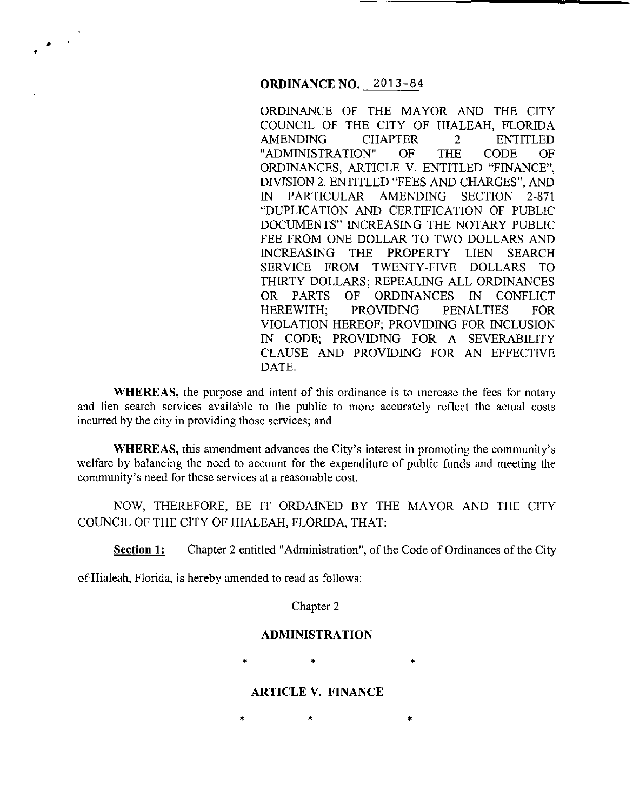## **ORDINANCE NO.** 2013-84

ORDINANCE OF THE MAYOR AND THE CITY COUNCIL OF THE CITY OF HIALEAH, FLORIDA AMENDING CHAPTER 2 ENTITLED "ADMINISTRATION" OF THE CODE OF ORDINANCES, ARTICLE V. ENTITLED "FINANCE", DIVISION 2. ENTITLED "FEES AND CHARGES", AND IN PARTICULAR AMENDING SECTION 2-871 "DUPLICATION AND CERTIFICATION OF PUBLIC DOCUMENTS" INCREASING THE NOTARY PUBLIC FEE FROM ONE DOLLAR TO TWO DOLLARS AND INCREASING THE PROPERTY LIEN SEARCH SERVICE FROM TWENTY-FIVE DOLLARS TO THIRTY DOLLARS; REPEALING ALL ORDINANCES OR PARTS OF ORDINANCES IN CONFLICT HEREWITH; PROVIDING PENALTIES FOR VIOLATION HEREOF; PROVIDING FOR INCLUSION IN CODE; PROVIDING FOR A SEVERABILITY CLAUSE AND PROVIDING FOR AN EFFECTIVE DATE.

**WHEREAS,** the purpose and intent of this ordinance is to increase the fees for notary and lien search services available to the public to more accurately reflect the actual costs incurred by the city in providing those services; and

**WHEREAS,** this amendment advances the City's interest in promoting the community's welfare by balancing the need to account for the expenditure of public funds and meeting the community's need for these services at a reasonable cost.

NOW, THEREFORE, BE IT ORDAINED BY THE MAYOR AND THE CITY COUNCIL OF THE CITY OF HIALEAH, FLORIDA, THAT:

**Section 1:** Chapter 2 entitled "Administration", of the Code of Ordinances of the City

of Hialeah, Florida, is hereby amended to read as follows:

• •

Chapter 2

#### **ADMINISTRATION**

 $*$  \*  $*$  \*

# **ARTICLE V. FINANCE**

 $*$  \*  $*$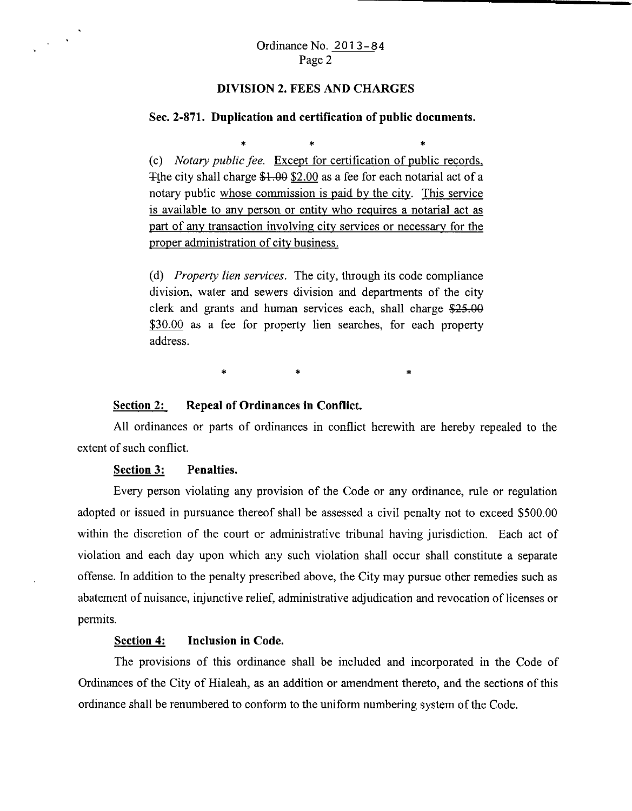### **DIVISION 2. FEES AND CHARGES**

### **Sec. 2-871. Duplication and certification of public documents.**

\* \* \* \* \* (c) *Notary public fee.* Except for certification of public records, The city shall charge  $$1.00$   $$2.00$  as a fee for each notarial act of a notary public whose commission is paid by the city. This service is available to any person or entity who requires a notarial act as part of any transaction involving city services or necessary for the proper administration of city business.

(d) *Property lien services.* The city, through its code compliance division, water and sewers division and departments of the city clerk and grants and human services each, shall charge *\$25.00*  \$30.00 as a fee for property lien searches, for each property address.

 $\ddot{\textbf{x}}$   $\textbf{x}$ 

# **Section 2: Repeal of Ordinances in Conflict.**

All ordinances or parts of ordinances in conflict herewith are hereby repealed to the extent of such conflict.

### **Section 3: Penalties.**

 $\frac{1}{2} \left( \frac{1}{2} \right)^{\frac{1}{2}}$ 

Every person violating any provision of the Code or any ordinance, rule or regulation adopted or issued in pursuance thereof shall be assessed a civil penalty not to exceed \$500.00 within the discretion of the court or administrative tribunal having jurisdiction. Each act of violation and each day upon which any such violation shall occur shall constitute a separate offense. In addition to the penalty prescribed above, the City may pursue other remedies such as abatement of nuisance, injunctive relief, administrative adjudication and revocation of licenses or permits.

## **Section 4: Inclusion in Code.**

The provisions of this ordinance shall be included and incorporated in the Code of Ordinances of the City of Hialeah, as an addition or amendment thereto, and the sections of this ordinance shall be renumbered to conform to the uniform numbering system of the Code.